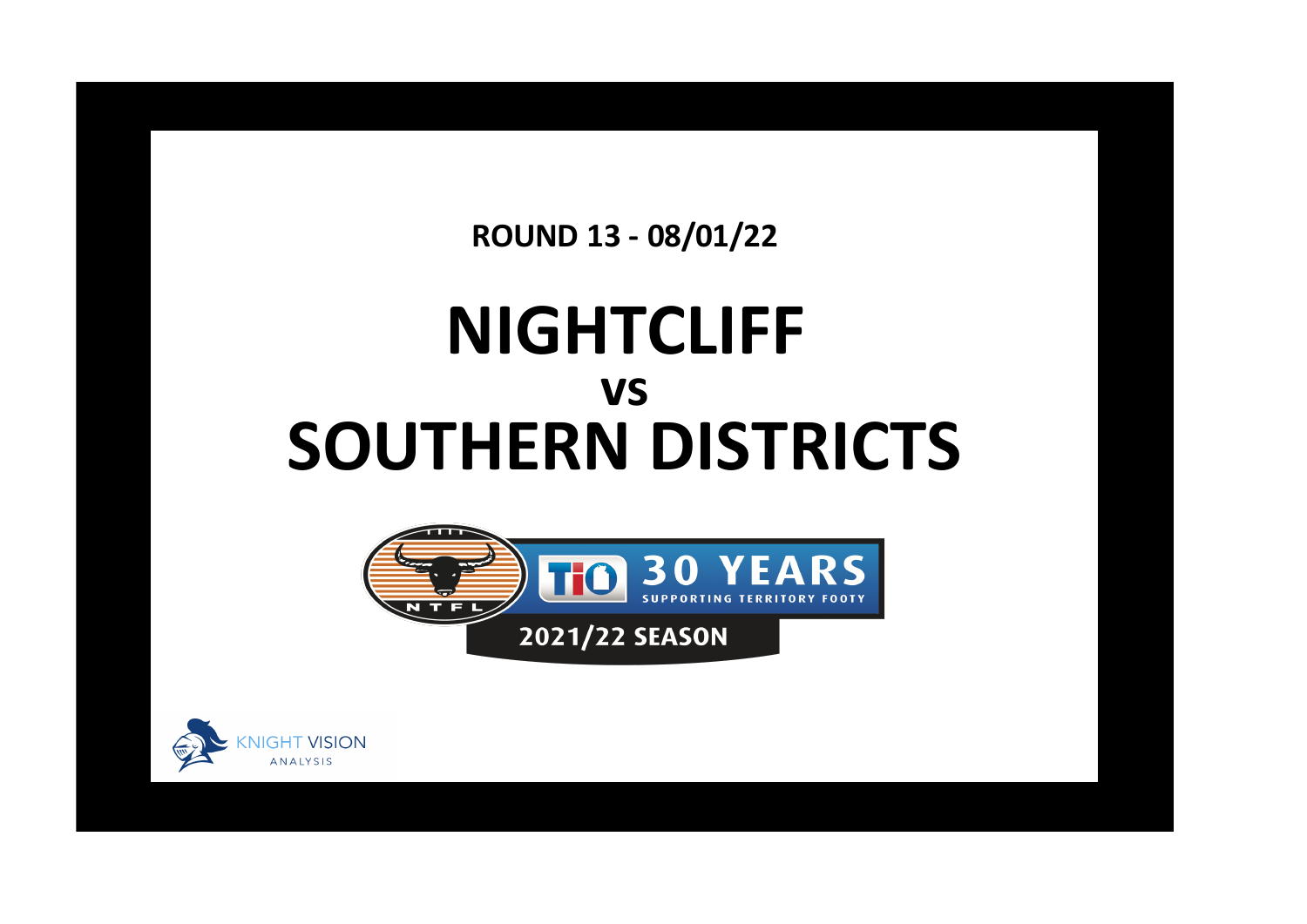**ROUND 13 - 08/01/22**

## **NIGHTCLIFF SOUTHERN DISTRICTS vs**



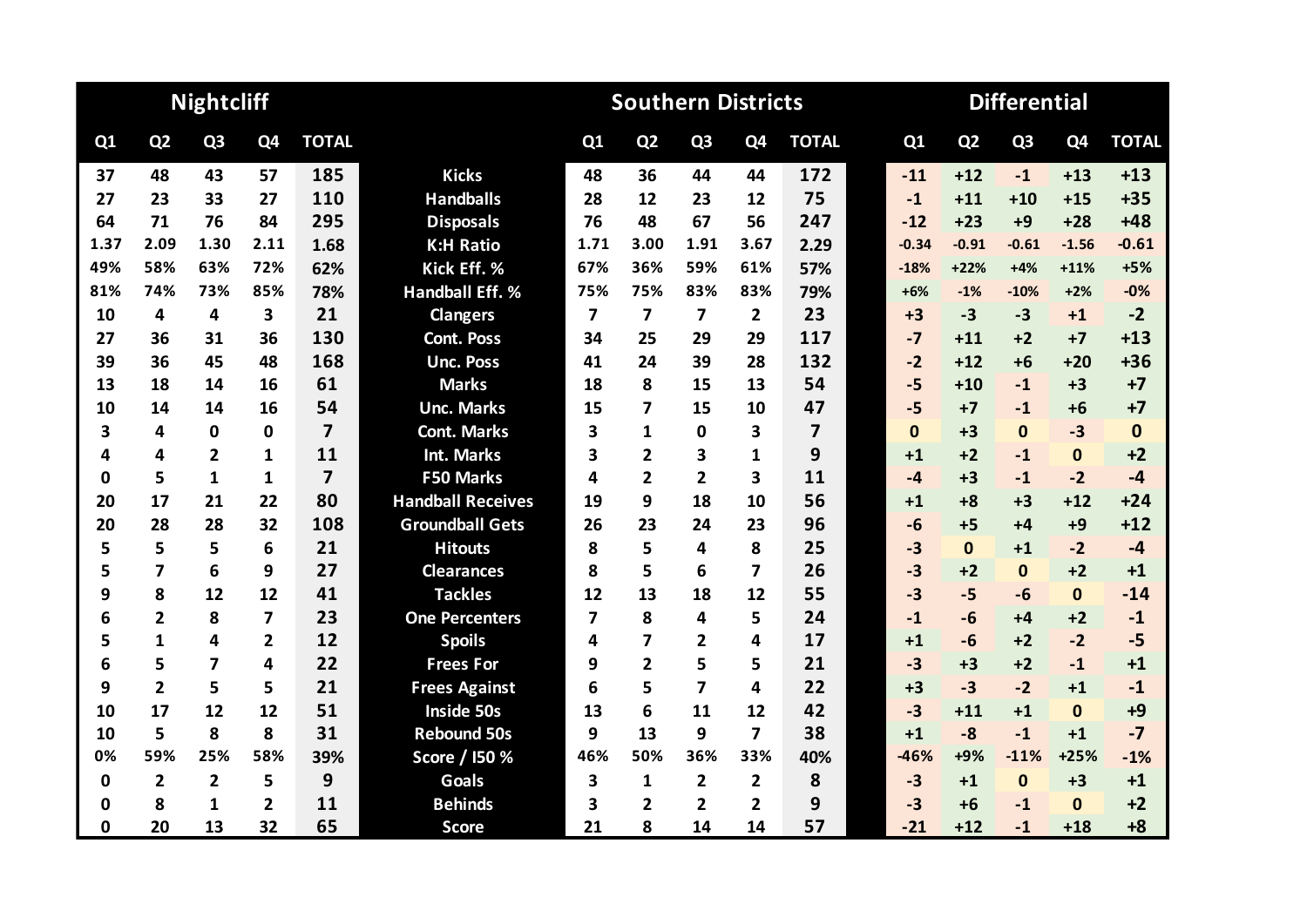|             |                         | <b>Nightcliff</b>       |                         |                         | <b>Southern Districts</b> |                |                         |                |                         |                |  |              |                | <b>Differential</b> |              |              |
|-------------|-------------------------|-------------------------|-------------------------|-------------------------|---------------------------|----------------|-------------------------|----------------|-------------------------|----------------|--|--------------|----------------|---------------------|--------------|--------------|
| Q1          | Q <sub>2</sub>          | Q <sub>3</sub>          | Q4                      | <b>TOTAL</b>            |                           | Q <sub>1</sub> | Q <sub>2</sub>          | Q <sub>3</sub> | Q <sub>4</sub>          | <b>TOTAL</b>   |  | Q1           | Q <sub>2</sub> | Q <sub>3</sub>      | Q4           | <b>TOTAL</b> |
| 37          | 48                      | 43                      | 57                      | 185                     | <b>Kicks</b>              | 48             | 36                      | 44             | 44                      | 172            |  | $-11$        | $+12$          | $-1$                | $+13$        | $+13$        |
| 27          | 23                      | 33                      | 27                      | 110                     | <b>Handballs</b>          | 28             | 12                      | 23             | 12                      | 75             |  | $-1$         | $+11$          | $+10$               | $+15$        | $+35$        |
| 64          | 71                      | 76                      | 84                      | 295                     | <b>Disposals</b>          | 76             | 48                      | 67             | 56                      | 247            |  | $-12$        | $+23$          | $+9$                | $+28$        | $+48$        |
| 1.37        | 2.09                    | 1.30                    | 2.11                    | 1.68                    | <b>K:H Ratio</b>          | 1.71           | 3.00                    | 1.91           | 3.67                    | 2.29           |  | $-0.34$      | $-0.91$        | $-0.61$             | $-1.56$      | $-0.61$      |
| 49%         | 58%                     | 63%                     | 72%                     | 62%                     | Kick Eff. %               | 67%            | 36%                     | 59%            | 61%                     | 57%            |  | $-18%$       | $+22%$         | $+4%$               | $+11%$       | $+5%$        |
| 81%         | 74%                     | 73%                     | 85%                     | 78%                     | <b>Handball Eff. %</b>    | 75%            | 75%                     | 83%            | 83%                     | 79%            |  | $+6%$        | $-1%$          | $-10%$              | $+2%$        | $-0%$        |
| 10          | 4                       | 4                       | 3                       | 21                      | <b>Clangers</b>           | 7              | $\overline{\mathbf{z}}$ | 7              | $\overline{2}$          | 23             |  | $+3$         | $-3$           | $-3$                | $+1$         | $-2$         |
| 27          | 36                      | 31                      | 36                      | 130                     | <b>Cont. Poss</b>         | 34             | 25                      | 29             | 29                      | 117            |  | $-7$         | $+11$          | $+2$                | $+7$         | $+13$        |
| 39          | 36                      | 45                      | 48                      | 168                     | <b>Unc. Poss</b>          | 41             | 24                      | 39             | 28                      | 132            |  | $-2$         | $+12$          | $+6$                | $+20$        | $+36$        |
| 13          | 18                      | 14                      | 16                      | 61                      | <b>Marks</b>              | 18             | 8                       | 15             | 13                      | 54             |  | $-5$         | $+10$          | $-1$                | $+3$         | $+7$         |
| 10          | 14                      | 14                      | 16                      | 54                      | <b>Unc. Marks</b>         | 15             | 7                       | 15             | 10                      | 47             |  | $-5$         | $+7$           | $-1$                | $+6$         | $+7$         |
| 3           | 4                       | $\mathbf 0$             | 0                       | $\overline{\mathbf{z}}$ | <b>Cont. Marks</b>        | 3              | 1                       | 0              | 3                       | $\overline{7}$ |  | $\mathbf{0}$ | $+3$           | $\mathbf{0}$        | $-3$         | $\mathbf 0$  |
| 4           | 4                       | $\overline{2}$          | $\mathbf{1}$            | 11                      | <b>Int. Marks</b>         | 3              | 2                       | 3              | 1                       | 9              |  | $+1$         | $+2$           | $-1$                | $\mathbf{0}$ | $+2$         |
| 0           | 5                       | 1                       | $\mathbf{1}$            | $\overline{7}$          | <b>F50 Marks</b>          | 4              | 2                       | $\overline{2}$ | $\overline{\mathbf{3}}$ | 11             |  | $-4$         | $+3$           | $-1$                | $-2$         | $-4$         |
| 20          | 17                      | 21                      | 22                      | 80                      | <b>Handball Receives</b>  | 19             | 9                       | 18             | 10                      | 56             |  | $+1$         | $+8$           | $+3$                | $+12$        | $+24$        |
| 20          | 28                      | 28                      | 32                      | 108                     | <b>Groundball Gets</b>    | 26             | 23                      | 24             | 23                      | 96             |  | $-6$         | $+5$           | $+4$                | $+9$         | $+12$        |
| 5           | 5                       | 5                       | 6                       | 21                      | <b>Hitouts</b>            | 8              | 5                       | 4              | 8                       | 25             |  | $-3$         | $\mathbf{0}$   | $+1$                | $-2$         | $-4$         |
| 5           | 7                       | 6                       | 9                       | 27                      | <b>Clearances</b>         | 8              | 5                       | 6              | 7                       | 26             |  | $-3$         | $+2$           | $\mathbf{0}$        | $+2$         | $+1$         |
| 9           | 8                       | 12                      | 12                      | 41                      | <b>Tackles</b>            | 12             | 13                      | 18             | 12                      | 55             |  | $-3$         | $-5$           | $-6$                | $\mathbf{0}$ | $-14$        |
| 6           | $\overline{2}$          | 8                       | $\overline{\mathbf{z}}$ | 23                      | <b>One Percenters</b>     | 7              | 8                       | 4              | 5                       | 24             |  | $-1$         | $-6$           | $+4$                | $+2$         | $-1$         |
| 5           | $\mathbf{1}$            | 4                       | $\overline{2}$          | 12                      | <b>Spoils</b>             | 4              | 7                       | 2              | 4                       | 17             |  | $+1$         | $-6$           | $+2$                | $-2$         | $-5$         |
| 6           | 5                       | $\overline{\mathbf{z}}$ | 4                       | 22                      | <b>Frees For</b>          | 9              | $\overline{2}$          | 5              | 5                       | 21             |  | $-3$         | $+3$           | $+2$                | $-1$         | $+1$         |
| 9           | $\overline{2}$          | 5                       | 5                       | 21                      | <b>Frees Against</b>      | 6              | 5                       | $\overline{7}$ | 4                       | 22             |  | $+3$         | $-3$           | $-2$                | $+1$         | $-1$         |
| 10          | 17                      | 12                      | 12                      | 51                      | <b>Inside 50s</b>         | 13             | 6                       | 11             | 12                      | 42             |  | $-3$         | $+11$          | $+1$                | $\mathbf{0}$ | $+9$         |
| 10          | 5                       | 8                       | 8                       | 31                      | <b>Rebound 50s</b>        | 9              | 13                      | 9              | $\overline{\mathbf{z}}$ | 38             |  | $+1$         | $-8$           | $-1$                | $+1$         | $-7$         |
| 0%          | 59%                     | 25%                     | 58%                     | 39%                     | Score / I50 %             | 46%            | 50%                     | 36%            | 33%                     | 40%            |  | $-46%$       | +9%            | $-11%$              | $+25%$       | $-1%$        |
| 0           | $\overline{\mathbf{2}}$ | $\overline{2}$          | 5                       | 9                       | <b>Goals</b>              | 3              | 1                       | $\overline{2}$ | $\overline{2}$          | 8              |  | $-3$         | $+1$           | $\mathbf 0$         | $+3$         | $+1$         |
| 0           | 8                       | 1                       | 2                       | 11                      | <b>Behinds</b>            | 3              | 2                       | $\overline{2}$ | $\overline{2}$          | 9              |  | $-3$         | $+6$           | $-1$                | $\mathbf{0}$ | $+2$         |
| $\mathbf 0$ | 20                      | 13                      | 32                      | 65                      | <b>Score</b>              | 21             | 8                       | 14             | 14                      | 57             |  | $-21$        | $+12$          | $-1$                | $+18$        | $+8$         |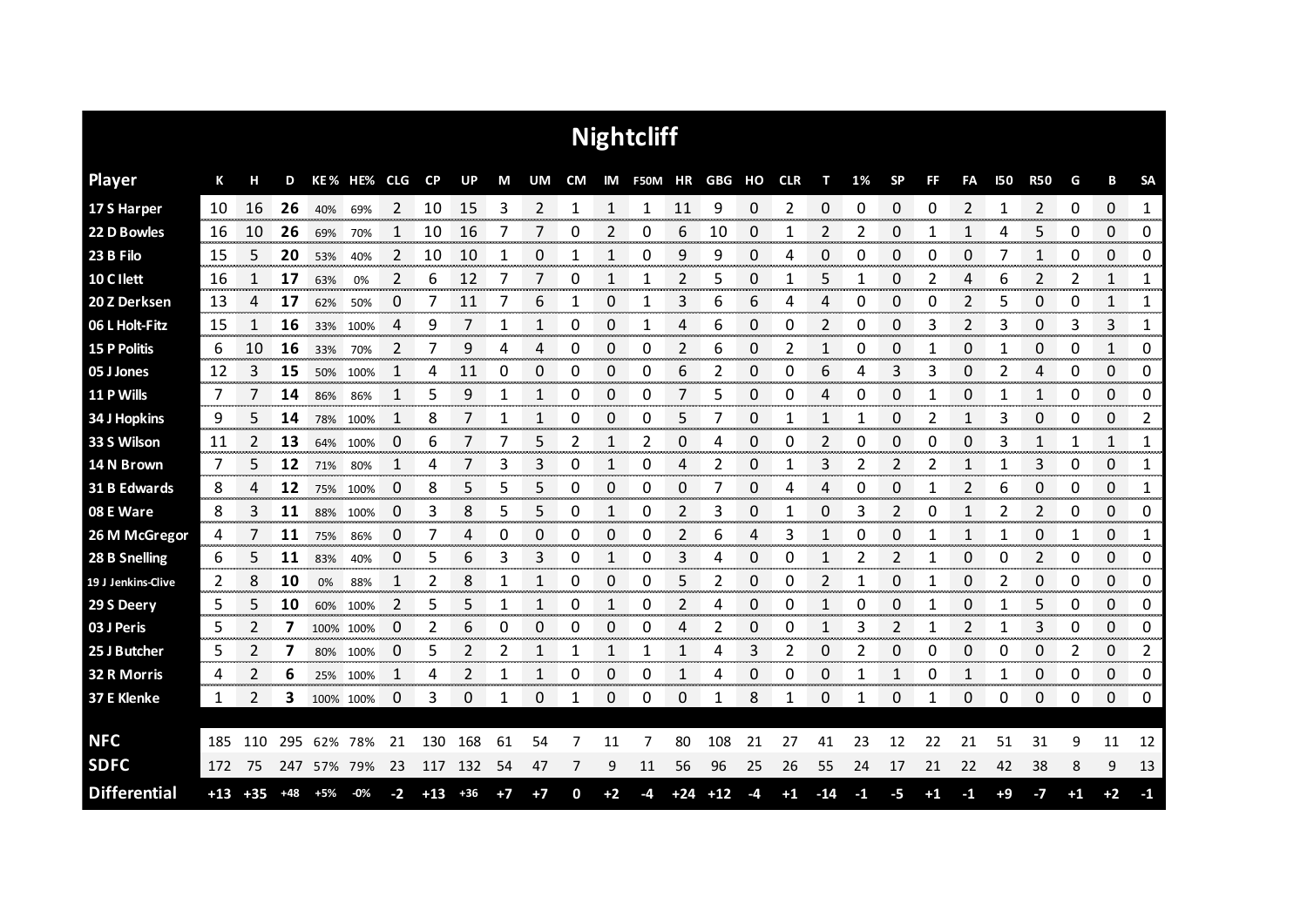| <b>Nightcliff</b>   |       |       |       |           |             |      |       |       |      |      |              |          |            |       |        |      |            |       |    |           |      |                |            |                |      |             |           |
|---------------------|-------|-------|-------|-----------|-------------|------|-------|-------|------|------|--------------|----------|------------|-------|--------|------|------------|-------|----|-----------|------|----------------|------------|----------------|------|-------------|-----------|
| <b>Player</b>       | К     | н     | D     |           | KE% HE% CLG |      | CP    | UP    | M    | UM   | CM           |          | IM F50M HR |       | GBG HO |      | <b>CLR</b> | т     | 1% | <b>SP</b> | FF   | <b>FA</b>      | <b>I50</b> | <b>R50</b>     | G    | В           | <b>SA</b> |
| 17 S Harper         | 10    | 16    | 26    | 40%       | 69%         | 2    | 10    | 15    | 3    | 2    | 1            | 1        | 1          | 11    | 9      | 0    | 2          | 0     | 0  | 0         | 0    | $\overline{2}$ | 1          | $\overline{2}$ | 0    | $\mathbf 0$ | 1<br>     |
| 22 D Bowles         | 16    | 10    | 26    | 69%       | 70%         |      | 10    | 16    |      |      | 0            |          | 0          | 6     | 10     | 0    |            | 2     |    | 0         |      |                |            | 5              | 0    | 0           | 0         |
| 23 B Filo           | 15    | 5     | 20    | 53%       | 40%         | 2    | 10    | 10    |      | 0    | 1            |          | 0          | 9     | 9      | 0    | 4          | 0     | 0  | 0         | 0    | 0              |            | $\mathbf{1}$   | 0    | 0           | 0         |
| 10 C I lett         | 16    |       | 17    | 63%       | 0%          | 2    | 6     | 12    | 7    | 7    | 0            | 1        |            | 2     | 5      | 0    |            | 5     | 1  | 0         | 2    | 4              | 6          | 2              | 2    | 1           | 1         |
| 20 Z Derksen        | 13    | 4     | 17    | 62%       | 50%         | 0    | 7     | 11    | 7    | 6    | 1            | 0        | 1          | 3     | 6      | 6    | 4          | 4     | 0  | 0         | 0    | 2              | 5          | 0              | 0    | 1           | 1         |
| 06 L Holt-Fitz      | 15    | 1     | 16    | 33%       | 100%        | 4    | 9     |       |      | 1    | 0            | 0        |            | 4     | 6      | 0    | Ω          | 2     | 0  | 0         | 3    | 2              | 3          | 0              | 3    | 3           | 1         |
| <b>15 P Politis</b> | 6     | 10    | 16    | 33%       | 70%         | 2    | 7     | 9     | 4    | 4    | 0            | 0        | 0          | 2     | 6      | 0    | 2          | 1     | 0  | 0         |      | 0              | 1          | 0              | 0    | 1           | 0         |
| 05 J Jones          | 12    | 3     | 15    | 50%       | 100%        | 1    | 4     | 11    | 0    | 0    | 0            | 0        | 0          | 6     | 2      | 0    | 0          | 6     | 4  | 3         | 3    | 0              | 2          | 4              | 0    | 0           | 0         |
| 11 P Wills          | 7     | 7     | 14    | 86%       | 86%         | 1    | 5     | 9     |      | 1    | 0            | 0        | 0          | 7     | 5      | 0    | 0          | 4     | 0  | 0         | 1    | 0              | 1          | 1              | 0    | 0           | 0         |
| 34 J Hopkins        | 9     | 5     | 14    | 78%       | 100%        | 1    | 8     |       |      | 1    | 0            | 0        | 0          | 5     |        | 0    |            | 1     |    | 0         | 2    | 1              | 3          | 0              | 0    | 0           | 2         |
| 33 S Wilson         | 11    | 2     | 13    | 64%       | 100%        | 0    | 6     |       |      | 5    | 2            | 1        | 2          | 0     | 4      | 0    | 0          | 2     | 0  | 0         | 0    | 0              | 3          | 1              | 1    | 1           | 1         |
| 14 N Brown          | 7     | 5     | 12    | 71%       | 80%         | 1    | 4     |       | 3    | 3    | 0            | 1        | 0          | 4     | 2      | 0    |            | 3     | 2  | 2         | 2    | 1              |            | 3              | 0    | 0           | 1         |
| 31 B Edwards        | 8     | 4     | 12    |           | 75% 100%    | 0    | 8     | 5     | 5    | 5    | 0            | $\Omega$ | 0          | 0     | 7      | 0    | 4          | 4     | 0  | 0         | 1    | $\overline{2}$ | 6          | $\Omega$       | 0    | 0           | 1         |
| 08 E Ware           | 8     | 3     | 11    | 88%       | 100%        | 0    | 3     | 8     | 5    | 5    | 0            | 1        | 0          | 2     | 3      | 0    |            | 0     | 3  | 2         | 0    | 1              | 2          | 2              | 0    | 0           | 0         |
| 26 M McGregor       | 4     |       | 11    | 75%       | 86%         | 0    | 7     | 4     | 0    | 0    | 0            | 0        | 0          | 2     | 6      | 4    | 3          | 1     | 0  | 0         | 1    | 1              | 1          | 0              | 1    | 0           | 1         |
| 28 B Snelling       | 6     | 5     | 11    | 83%       | 40%         | 0    | 5     | 6     | 3    | 3    | 0            | 1        | 0          | 3     | 4      | 0    | 0          | 1     | 2  | 2         |      | 0              | 0          | 2              | 0    | 0           | 0         |
| 19 J Jenkins-Clive  | 2     | 8     | 10    | 0%        | 88%         | 1    | 2     | 8     | 1    | 1    | 0            | 0        | 0          | 5     | 2      | 0    | 0          | 2     | 1  | 0         | 1    | 0              | 2          | 0              | 0    | 0           | 0         |
| 29 S Deery          | 5     | 5     | 10    | 60%       | 100%        | 2    | 5     | 5     | 1    | 1    | 0            | 1        | 0          | 2     | 4      | 0    | 0          | 1     | 0  | 0         | 1    | 0              | 1          | 5              | 0    | 0           | 0         |
| 03 J Peris          | 5     | 2     | 7     |           | 100% 100%   | 0    | 2     | 6     | 0    | 0    | 0            | 0        | 0          | 4     | 2      | 0    | 0          | 1     | 3  | 2         | 1    | $\overline{2}$ | 1          | 3              | 0    | 0           | 0         |
| 25 J Butcher        | 5     | 2     | 7     |           | 80% 100%    | 0    | 5     | 2     | 2    | 1    | 1            | 1        | 1          | 1     | 4      | 3    | 2          | 0     | 2  | 0         | 0    | 0              | 0          | 0              | 2    | 0           | 2         |
| 32 R Morris         | 4     | 2     | 6     | 25%       | 100%        | 1    | 4     | 2     | 1    | 1    | 0            | 0        | 0          | 1     | 4      | 0    | 0          | 0     | 1  | 1         | 0    | 1              | 1          | 0              | 0    | 0           | 0         |
| 37 E Klenke         | 1     | 2     | 3     | 100% 100% |             | 0    | 3     | 0     | 1    | 0    | $\mathbf{1}$ | 0        | 0          | 0     | 1      | 8    | 1          | 0     | 1  | 0         | 1    | 0              | 0          | 0              | 0    | 0           | 0         |
|                     |       |       |       |           |             |      |       |       |      |      |              |          |            |       |        |      |            |       |    |           |      |                |            |                |      |             |           |
| <b>NFC</b>          | 185   | 110   | 295   | 62%       | 78%         | 21   | 130   | 168   | 61   | 54   |              | 11       | 7          | 80    | 108    | 21   | 27         | 41    | 23 | 12        | 22   | 21             | 51         | 31             | 9    | 11          | 12        |
| <b>SDFC</b>         | 172   | 75    | 247   |           | 57% 79%     | 23   | 117   | 132   | 54   | 47   | 7            | 9        | 11         | 56    | 96     | 25   | 26         | 55    | 24 | 17        | 21   | 22             | 42         | 38             | 8    | 9           | 13        |
| <b>Differential</b> | $+13$ | $+35$ | $+48$ | +5%       | $-0\%$      | $-2$ | $+13$ | $+36$ | $+7$ | $+7$ | 0            | $+2$     | -4         | $+24$ | $+12$  | $-4$ | $+1$       | $-14$ | -1 | -5        | $+1$ | $-1$           | $+9$       | $-7$           | $+1$ | $+2$        | $-1$      |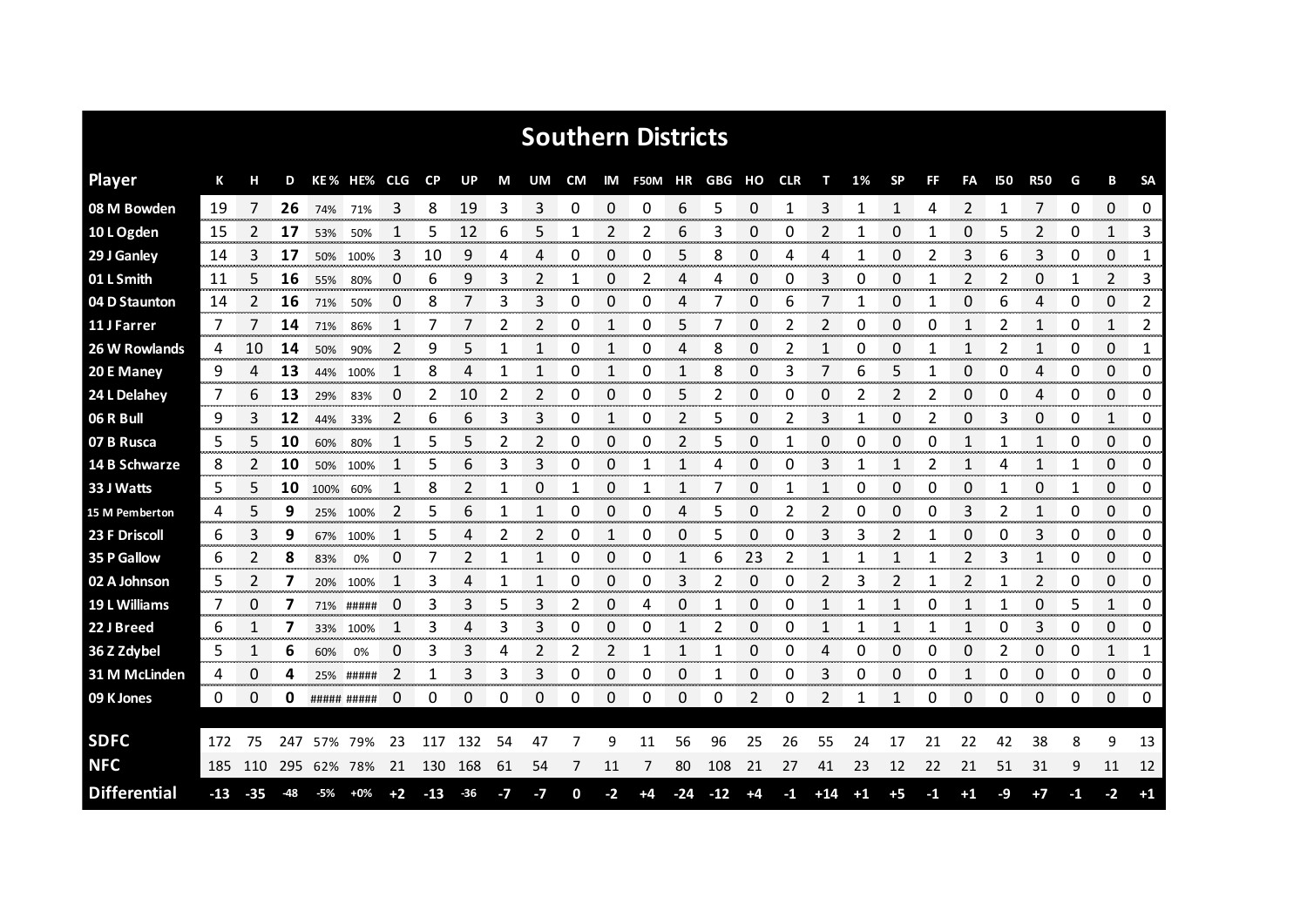| <b>Southern Districts</b> |     |       |     |         |                     |                |           |       |      |                |    |          |            |              |       |      |            |       |      |                |    |              |     |              |    |                |                |
|---------------------------|-----|-------|-----|---------|---------------------|----------------|-----------|-------|------|----------------|----|----------|------------|--------------|-------|------|------------|-------|------|----------------|----|--------------|-----|--------------|----|----------------|----------------|
| <b>Player</b>             | К   |       | D   |         | KE% HE% CLG         |                | <b>CP</b> | UP    | М    | UM             | CM |          | IM F50M HR |              | GBG   | но   | <b>CLR</b> | т     | 1%   | <b>SP</b>      | FF | FA           | 150 | <b>R50</b>   | G  | в              | <b>SA</b>      |
| 08 M Bowden               | 19  |       | 26  | 74% 71% |                     | 3              | 8         | 19    | 3    | 3              | 0  | 0        | 0          | 6            | 5     | 0    | 1          | 3     | 1    | 1              | 4  | 2            | -1  | 7            | 0  | 0              | 0              |
| 10 L Ogden                | 15  | 2     | 17  | 53%     | 50%                 | 1              | 5         | 12    | 6    | 5              | 1  | 2        | 2          | 6            | 3     | 0    | 0          | 2     | 1    | 0              | 1  | 0            | 5   | 2            | 0  | $\mathbf{1}$   | 3              |
| 29 J Ganley               | 14  | 3     | 17  | 50%     | 100%                | 3              | 10        | 9     | 4    | 4              | 0  | 0        | 0          | 5            | 8     | 0    | 4          | 4     | 1    | 0              | 2  | 3            | 6   | 3            | 0  | 0              | $\mathbf{1}$   |
| 01 L Smith                | 11  | 5     | 16  | 55%     | 80%                 | 0              | 6         | 9     | 3    | 2              | 1  | 0        | 2          | 4            | 4     | 0    | 0          | 3     | 0    | 0              | 1  | 2            | 2   | 0            | 1  | $\overline{2}$ | 3              |
| 04 D Staunton             | 14  | 2     | 16  | 71%     | 50%                 | 0              | 8         | 7     | 3    | 3              | 0  | 0        | 0          | 4            | 7     | 0    | 6          | 7     | 1    | 0              | 1  | 0            | 6   | 4            | 0  | 0              | $\mathbf{2}$   |
| 11 J Farrer               | 7   | 7     | 14  | 71%     | 86%                 | 1              | 7         | 7     | 2    | 2              | 0  | 1        | 0          | 5            | 7     | 0    | 2          | 2     | 0    | 0              | 0  | $\mathbf{1}$ | 2   | 1            | 0  | $\mathbf{1}$   | 2              |
| 26 W Rowlands             | 4   | 10    | 14  | 50%     | 90%                 | 2              | 9         | 5     | 1    | 1              | 0  | 1        | 0          | 4            | 8     | 0    | 2          | 1     | 0    | 0              | 1  | 1            | 2   | $\mathbf{1}$ | 0  | 0              | 1              |
| 20 E Maney                | 9   | 4     | 13  | 44%     | 100%                | 1              | 8         | 4     | 1    | 1              | 0  | 1        | 0          | 1            | 8     | 0    | 3          | 7     | 6    | 5              | 1  | 0            | 0   | 4            | 0  | $\Omega$       | 0              |
| 24 L Delahey              | 7   | 6     | 13  | 29%     | 83%                 | $\Omega$       | 2         | 10    | 2    | $\overline{2}$ | 0  | $\Omega$ | 0          | 5            | 2     | 0    | 0          | 0     | 2    | $\overline{2}$ | 2  | 0            | 0   | 4            | 0  | $\Omega$       | 0              |
| 06 R Bull                 | 9   | 3     | 12  | 44%     | 33%                 | 2              | 6         | 6     | 3    | 3              | 0  | 1        | 0          | 2            | 5     | 0    | 2          | 3     | 1    | 0              | 2  | 0            | 3   | 0            | 0  | 1              | 0              |
| 07 B Rusca                | 5   | 5     | 10  | 60%     | 80%                 |                | 5         | 5     | 2    | 2              | 0  | 0        | 0          | 2            | 5     | 0    |            | 0     | 0    | 0              | 0  | 1            |     | $\mathbf{1}$ | 0  | 0              | 0              |
| 14 B Schwarze             | 8   | 2     | 10  | 50%     | 100%                | -1             | 5         | 6     | 3    | 3              | 0  | 0        | 1          | 1            | 4     | 0    | 0          | 3     |      |                | 2  | 1            | 4   | $\mathbf{1}$ | 1  | 0              | 0              |
| 33 J Watts                | 5   | 5     | 10  | 100%    | 60%                 |                | 8         | 2     | 1    | 0              |    | 0        | 1          | $\mathbf{1}$ | 7     | 0    |            | 1     | 0    | 0              | 0  | 0            | 1   | 0            | 1  | 0              | 0              |
| 15 M Pemberton            | 4   | 5     | 9   | 25%     | 100%                | 2              | 5         | 6     | 1    | 1              | 0  | 0        | 0          | 4            | 5     | 0    | 2          | 2     | 0    | 0              | 0  | 3            | 2   | $\mathbf{1}$ | 0  | 0              | 0              |
| 23 F Driscoll             | 6   | 3     | 9   | 67%     | 100%                |                | 5         |       | 2    | 2              | 0  |          | 0          | 0            | 5     | 0    | 0          | 3     | 3    |                |    | 0            | O   | 3            | 0  | 0              | 0              |
| 35 P Gallow               | 6   |       | 8   | 83%     | 0%                  | 0              |           |       |      | 1              | 0  | 0        | 0          | 1            | 6     | 23   | 2          |       |      |                |    |              | 3   |              | 0  | 0              | 0<br>vonnonnor |
| 02 A Johnson              | 5   | 2     | 7   |         | 20% 100%            |                | 3         | 4     |      | 1              | 0  | 0        | 0          | 3            | 2     | 0    | 0          | 2     | 3    | 2              |    | 2            |     | 2            | 0  | 0              | 0              |
| 19 L Williams             | 7   | 0     | 7   |         | 71% #####           | 0              | 3         | 3     | 5    | 3              | 2  | 0        | 4          | 0            |       | 0    | 0          |       |      |                |    |              | 1   | 0            | 5  | 1              | 0              |
| 22 J Breed                | 6   | 1     | 7   | 33%     | 100%                |                | 3         | 4     | 3    | 3              | 0  | 0        | 0          | $\mathbf 1$  | 2     | 0    | 0          | 1     |      | 1              |    | 1            | 0   | 3            | 0  | 0              | 0              |
| 36 Z Zdybel               | 5   | 1     | 6   | 60%     | 0%                  | 0              | 3         | 3     | 4    | 2              | 2  | 2        | 1          | 1            | 1     | 0    | 0          | 4     | 0    | 0              | 0  | 0            | 2   | 0            | 0  | 1              | 1              |
| 31 M McLinden             | 4   | 0     | 4   |         | 25% #####           | $\overline{2}$ | 1         | 3     | 3    | 3              | 0  | 0        | 0          | 0            |       | 0    | 0          | 3     | 0    | 0              | 0  | 1            | 0   | 0            | 0  | 0              | 0              |
| 09 K Jones                | 0   | 0     | 0   |         | ##### #####         | 0              | 0         | 0     | 0    | 0              | 0  | 0        | 0          | 0            | 0     | 2    | 0          | 2     | 1    | 1              | 0  | 0            | 0   | 0            | 0  | 0              | 0              |
| <b>SDFC</b>               | 172 | 75    | 247 |         | 57% 79%             | 23             | 117       | 132   | 54   | 47             | 7  | 9        | 11         | 56           | 96    | 25   | 26         | 55    | 24   | 17             | 21 | 22           | 42  | 38           | 8  | 9              | 13             |
| <b>NFC</b>                |     |       |     |         | 185 110 295 62% 78% | 21             | 130       | 168   | 61   | 54             | 7  | 11       | 7          | 80           | 108   | 21   | 27         | 41    | 23   | 12             | 22 | 21           | 51  | 31           | 9  | 11             | 12             |
| <b>Differential</b>       | -13 | $-35$ | -48 | -5%     | $+0\%$              | $+2$           | $-13$     | $-36$ | $-7$ | -7             | 0  | $-2$     | $+4$       | $-24$        | $-12$ | $+4$ | $-1$       | $+14$ | $+1$ | $+5$           | -1 | $+1$         | -9  | $+7$         | -1 | $-2$           | $+1$           |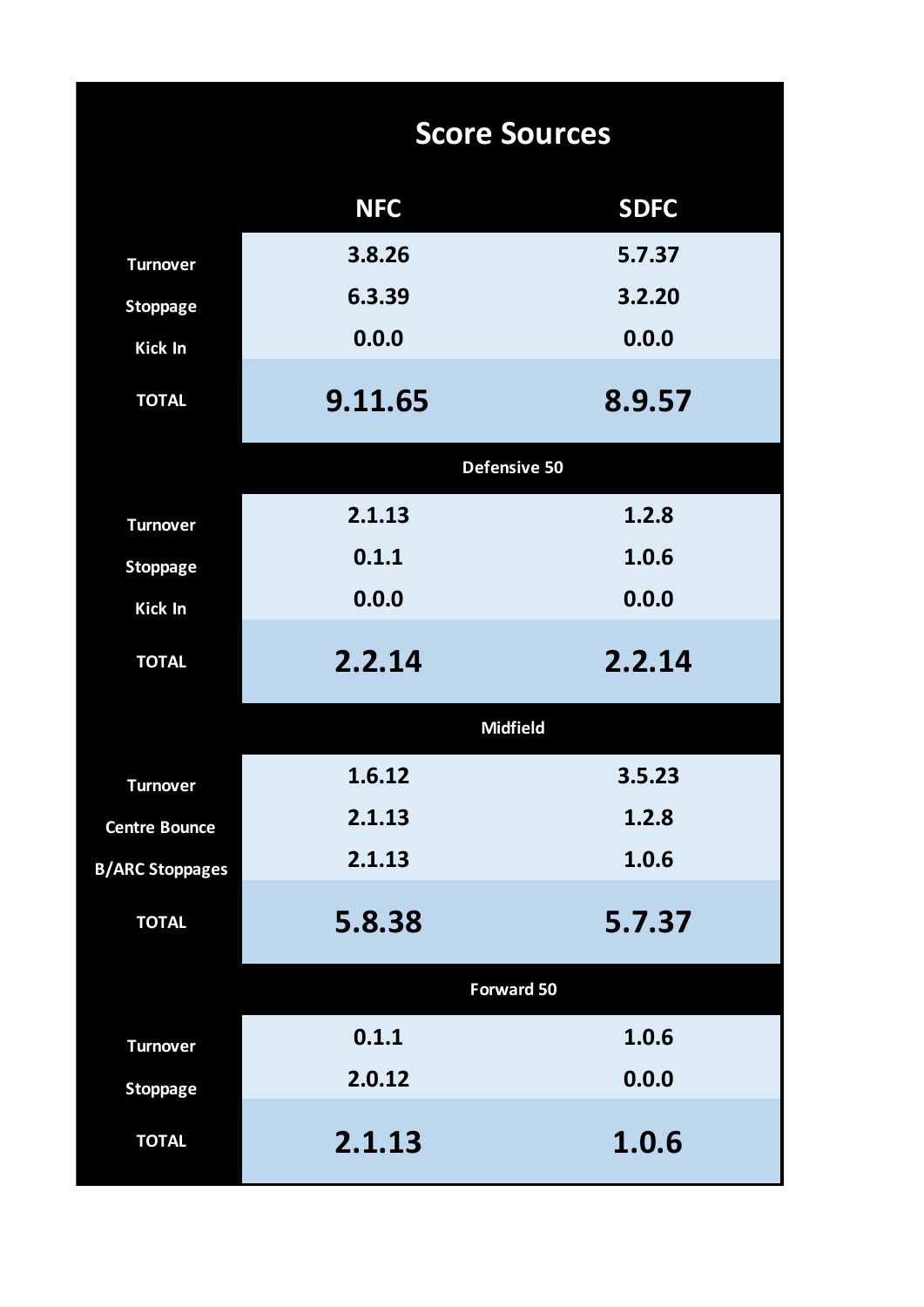|                        | <b>Score Sources</b> |                   |  |  |  |  |  |  |  |  |
|------------------------|----------------------|-------------------|--|--|--|--|--|--|--|--|
|                        | <b>NFC</b>           | <b>SDFC</b>       |  |  |  |  |  |  |  |  |
| <b>Turnover</b>        | 3.8.26               | 5.7.37            |  |  |  |  |  |  |  |  |
| <b>Stoppage</b>        | 6.3.39               | 3.2.20            |  |  |  |  |  |  |  |  |
| <b>Kick In</b>         | 0.0.0                | 0.0.0             |  |  |  |  |  |  |  |  |
| <b>TOTAL</b>           | 9.11.65              | 8.9.57            |  |  |  |  |  |  |  |  |
|                        | Defensive 50         |                   |  |  |  |  |  |  |  |  |
| <b>Turnover</b>        | 2.1.13               | 1.2.8             |  |  |  |  |  |  |  |  |
| <b>Stoppage</b>        | 0.1.1                | 1.0.6             |  |  |  |  |  |  |  |  |
| <b>Kick In</b>         | 0.0.0                | 0.0.0             |  |  |  |  |  |  |  |  |
| <b>TOTAL</b>           | 2.2.14               | 2.2.14            |  |  |  |  |  |  |  |  |
|                        |                      | <b>Midfield</b>   |  |  |  |  |  |  |  |  |
| <b>Turnover</b>        | 1.6.12               | 3.5.23            |  |  |  |  |  |  |  |  |
| <b>Centre Bounce</b>   | 2.1.13               | 1.2.8             |  |  |  |  |  |  |  |  |
| <b>B/ARC Stoppages</b> | 2.1.13               | 1.0.6             |  |  |  |  |  |  |  |  |
| <b>TOTAL</b>           | 5.8.38               | 5.7.37            |  |  |  |  |  |  |  |  |
|                        |                      | <b>Forward 50</b> |  |  |  |  |  |  |  |  |
| <b>Turnover</b>        | 0.1.1                | 1.0.6             |  |  |  |  |  |  |  |  |
| <b>Stoppage</b>        | 2.0.12               | 0.0.0             |  |  |  |  |  |  |  |  |
| <b>TOTAL</b>           | 2.1.13               | 1.0.6             |  |  |  |  |  |  |  |  |